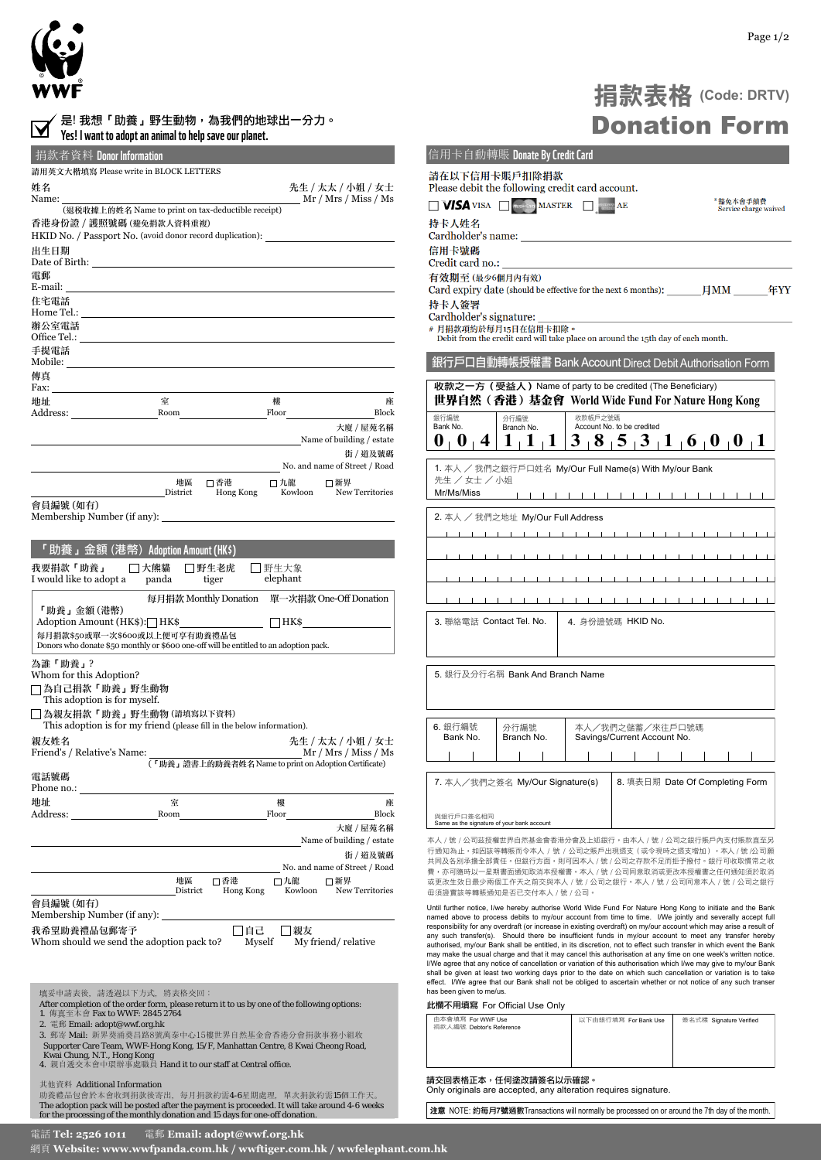

| 是! 我想「助養」野生動物,為我們的地球出一分力。<br>Yes! I want to adopt an animal to help save our planet.                                                                                                                                           |                |                                                       |                  |                                              |  |
|--------------------------------------------------------------------------------------------------------------------------------------------------------------------------------------------------------------------------------|----------------|-------------------------------------------------------|------------------|----------------------------------------------|--|
| 捐款者資料 Donor Information                                                                                                                                                                                                        |                |                                                       |                  |                                              |  |
| 請用英文大楷填寫 Please write in BLOCK LETTERS                                                                                                                                                                                         |                |                                                       |                  |                                              |  |
| 姓名<br>Name:                                                                                                                                                                                                                    |                |                                                       |                  | 先生 / 太太 / 小姐 / 女士<br>Mr / Mrs / Miss / Ms    |  |
| (退税收據上的姓名 Name to print on tax-deductible receipt)                                                                                                                                                                             |                |                                                       |                  |                                              |  |
| 香港身份證 / 護照號碼 (避免捐款人資料重複)<br>HKID No. / Passport No. (avoid donor record duplication):                                                                                                                                          |                |                                                       |                  |                                              |  |
| 出生日期                                                                                                                                                                                                                           |                |                                                       |                  |                                              |  |
| Date of Birth:<br>電郵                                                                                                                                                                                                           |                |                                                       |                  |                                              |  |
| E-mail:<br>住宅電話                                                                                                                                                                                                                |                |                                                       |                  |                                              |  |
| Home Tel.: Next Assembly the Second Second Second Second Second Second Second Second Second Second Second Second Second Second Second Second Second Second Second Second Second Second Second Second Second Second Second Seco |                |                                                       |                  |                                              |  |
| 辦公室電話                                                                                                                                                                                                                          |                |                                                       |                  |                                              |  |
| 手提電話                                                                                                                                                                                                                           |                |                                                       |                  |                                              |  |
| Mobile:<br>傳真                                                                                                                                                                                                                  |                |                                                       |                  |                                              |  |
| Fax: The contract of the contract of the contract of the contract of the contract of the contract of the contract of the contract of the contract of the contract of the contract of the contract of the contract of the contr |                |                                                       |                  |                                              |  |
| 地址                                                                                                                                                                                                                             | 室              |                                                       | 樓                | 座                                            |  |
| Address:                                                                                                                                                                                                                       |                | Room                                                  | Floor            | Block<br>大廈 / 屋苑名稱                           |  |
|                                                                                                                                                                                                                                |                |                                                       |                  | Name of building / estate                    |  |
|                                                                                                                                                                                                                                |                |                                                       |                  | 街 / 道及號碼                                     |  |
|                                                                                                                                                                                                                                |                |                                                       |                  | No. and name of Street / Road                |  |
|                                                                                                                                                                                                                                | 地區<br>District | □香港<br>Hong Kong                                      | 口九龍<br>Kowloon   | □新界<br>New Territories                       |  |
| 會員編號 (如有)<br>Membership Number (if any):                                                                                                                                                                                       |                |                                                       |                  |                                              |  |
| 「助養」金額 (港幣) Adoption Amount (HK\$)                                                                                                                                                                                             |                |                                                       |                  |                                              |  |
|                                                                                                                                                                                                                                |                |                                                       |                  |                                              |  |
| 我要捐款「助養」<br>I would like to adopt a panda                                                                                                                                                                                      | □大熊貓           | □野生老虎<br>tiger                                        | 野生大象<br>elephant |                                              |  |
| 「助養」金額 (港幣)                                                                                                                                                                                                                    |                |                                                       |                  | 每月捐款 Monthly Donation 單一次捐款 One-Off Donation |  |
| Adoption Amount (HK\$): $HK$ \$                                                                                                                                                                                                |                |                                                       | $ $   HK\$       |                                              |  |
| 每月捐款\$50或單一次\$600或以上便可享有助養禮品包<br>Donors who donate \$50 monthly or \$600 one-off will be entitled to an adoption pack.                                                                                                         |                |                                                       |                  |                                              |  |
| 為誰「助養」?                                                                                                                                                                                                                        |                |                                                       |                  |                                              |  |
| Whom for this Adoption?                                                                                                                                                                                                        |                |                                                       |                  |                                              |  |
| □為自己捐款「助養」野生動物<br>This adoption is for myself.                                                                                                                                                                                 |                |                                                       |                  |                                              |  |
| □為親友捐款「助養」野生動物(請填寫以下資料)                                                                                                                                                                                                        |                |                                                       |                  |                                              |  |
| This adoption is for my friend (please fill in the below information).                                                                                                                                                         |                |                                                       |                  |                                              |  |
| 親友姓名                                                                                                                                                                                                                           |                |                                                       |                  | 先生 / 太太 / 小姐 / 女士                            |  |
| Friend's / Relative's Name:                                                                                                                                                                                                    |                | (「助養」證書上的助養者姓名 Name to print on Adoption Certificate) |                  | Mr / Mrs / Miss / Ms                         |  |
| 電話號碼<br>Phone no.:                                                                                                                                                                                                             |                |                                                       |                  |                                              |  |
| 地址                                                                                                                                                                                                                             | 室              |                                                       | 樓                | 座                                            |  |
| Address:                                                                                                                                                                                                                       | Room           |                                                       | Floor            | Block                                        |  |
|                                                                                                                                                                                                                                |                |                                                       |                  | 大廈 / 屋苑名稱<br>Name of building / estate       |  |
|                                                                                                                                                                                                                                |                |                                                       |                  | 街 / 道及號碼                                     |  |
|                                                                                                                                                                                                                                |                |                                                       |                  | No. and name of Street / Road                |  |
|                                                                                                                                                                                                                                | 地區<br>District | □ 香港<br>Hong Kong                                     | □九龍<br>Kowloon   | □新界<br>New Territories                       |  |
| 會員編號 (如有)                                                                                                                                                                                                                      |                |                                                       |                  |                                              |  |
| Membership Number (if any):                                                                                                                                                                                                    |                |                                                       |                  |                                              |  |
| 我希望助養禮品包郵寄予<br>口自己<br> 親友<br>Whom should we send the adoption pack to?<br>My friend/relative<br>Myself                                                                                                                         |                |                                                       |                  |                                              |  |
|                                                                                                                                                                                                                                |                |                                                       |                  |                                              |  |
|                                                                                                                                                                                                                                |                |                                                       |                  |                                              |  |
| 填妥申請表後, 請透過以下方式, 將表格交回:                                                                                                                                                                                                        |                |                                                       |                  |                                              |  |
| After completion of the order form, please return it to us by one of the following options:<br>1. 傳真至本會 Fax to WWF: 2845 2764                                                                                                  |                |                                                       |                  |                                              |  |
| 2. 電郵 Email: adopt@wwf.org.hk                                                                                                                                                                                                  |                |                                                       |                  |                                              |  |
| 3. 郵寄 Mail: 新界葵涌葵昌路8號萬泰中心15樓世界自然基金會香港分會捐款事務小組收<br>Supporter Care Team, WWF-Hong Kong, 15/F, Manhattan Centre, 8 Kwai Cheong Road,                                                                                              |                |                                                       |                  |                                              |  |
| Kwai Chung, N.T., Hong Kong<br>4. 親自遞交本會中環辦事處職員 Hand it to our staff at Central office.                                                                                                                                        |                |                                                       |                  |                                              |  |

## 其他資料 Additional Information カランド こうしょう しゅうしょう しゅうしょう

助養禮品包會於本會收到捐款後寄出,每月捐款約需4-6星期處理,單次捐款約需15個工作天。 The adoption pack will be posted after the payment is proceeded. It will take around 4-6 weeks<br>for the processing of the monthly donation and 15 days for one-off donation.

| 捐款表格 (Code: DRTV)    |  |
|----------------------|--|
| <b>Donation Form</b> |  |

| 信用卡自動轉賬 Donate By Credit Card                                                                                                                                                                                                                                                                                                     |  |  |  |  |
|-----------------------------------------------------------------------------------------------------------------------------------------------------------------------------------------------------------------------------------------------------------------------------------------------------------------------------------|--|--|--|--|
| 請在以下信用卡賬戶扣除捐款<br>Please debit the following credit card account.                                                                                                                                                                                                                                                                  |  |  |  |  |
| *豁免本會手續費<br><b>VISA</b> VISA <b>WASHER</b><br>AE<br>Service charge waived                                                                                                                                                                                                                                                         |  |  |  |  |
| 持卡人姓名<br>Cardholder's name:                                                                                                                                                                                                                                                                                                       |  |  |  |  |
| 信用卡號碼<br>Credit card no.:                                                                                                                                                                                                                                                                                                         |  |  |  |  |
| 有效期至 (最少6個月內有效)                                                                                                                                                                                                                                                                                                                   |  |  |  |  |
| Card expiry date (should be effective for the next 6 months): $\qquad \qquad$ $\qquad \qquad$ $\qquad \qquad$ $\qquad \qquad$ TMM<br>年YY<br>持卡人簽署                                                                                                                                                                                 |  |  |  |  |
| Cardholder's signature:<br># 月捐款項約於每月15日在信用卡扣除。<br>Debit from the credit card will take place on around the 15th day of each month.                                                                                                                                                                                               |  |  |  |  |
| 元戶口自動轉帳授權書 Bank Account Direct Debit Authorisation Form                                                                                                                                                                                                                                                                           |  |  |  |  |
| 收款之一方 (受益人) Name of party to be credited (The Beneficiary)                                                                                                                                                                                                                                                                        |  |  |  |  |
| 世界自然(香港)基金會 World Wide Fund For Nature Hong Kong                                                                                                                                                                                                                                                                                  |  |  |  |  |
| 銀行編號<br>收款帳戶之號碼<br>分行編號<br>Bank No.<br>Account No. to be credited<br>Branch No.                                                                                                                                                                                                                                                   |  |  |  |  |
| 3<br>1<br>$8 + 5 + 3 + 1 + 6 + 0 + 0$<br>O<br>O<br>4<br>$\mathbf I$<br>$\mathbf{L}$<br>П                                                                                                                                                                                                                                          |  |  |  |  |
| 1. 本人 / 我們之銀行戶口姓名 My/Our Full Name(s) With My/our Bank<br>先生 / 女士 / 小姐<br>Mr/Ms/Miss                                                                                                                                                                                                                                              |  |  |  |  |
|                                                                                                                                                                                                                                                                                                                                   |  |  |  |  |
| 2. 本人 / 我們之地址 My/Our Full Address                                                                                                                                                                                                                                                                                                 |  |  |  |  |
| $\mathbf{I}$<br>$\perp$<br>$\blacksquare$                                                                                                                                                                                                                                                                                         |  |  |  |  |
| $\mathbf{1}$ $\mathbf{1}$ $\mathbf{1}$                                                                                                                                                                                                                                                                                            |  |  |  |  |
|                                                                                                                                                                                                                                                                                                                                   |  |  |  |  |
| $\mathbf{I}$                                                                                                                                                                                                                                                                                                                      |  |  |  |  |
| 3. 聯絡電話 Contact Tel. No.<br>4. 身份證號碼 HKID No.                                                                                                                                                                                                                                                                                     |  |  |  |  |
| 5. 銀行及分行名稱 Bank And Branch Name                                                                                                                                                                                                                                                                                                   |  |  |  |  |
|                                                                                                                                                                                                                                                                                                                                   |  |  |  |  |
| 6. 銀行編號<br>本人/我們之儲蓄/來往戶口號碼<br>分行編號<br>Bank No.<br>Savings/Current Account No.<br>Branch No.                                                                                                                                                                                                                                       |  |  |  |  |
| $\mathbf{I}$<br>$\sim$ 1.<br>$\mathbf{1}$ $\mathbf{1}$<br>.                                                                                                                                                                                                                                                                       |  |  |  |  |
| 7. 本人/我們之簽名 My/Our Signature(s)<br>8. 填表日期 Date Of Completing Form<br>與銀行戶口簽名相同                                                                                                                                                                                                                                                   |  |  |  |  |
| Same as the signature of your bank account                                                                                                                                                                                                                                                                                        |  |  |  |  |
| 本人 / 號 / 公司茲授權世界自然基金會香港分會及上述銀行,由本人 / 號 / 公司之銀行賬戶內支付賬款直至另<br>行通知為止,如因該等轉賬而令本人 / 號 / 公司之賬戶出現透支(或令現時之透支增加),本人 / 號 /公司願<br>共同及各别承擔全部責任。但銀行方面,則可因本人 / 號 / 公司之存款不足而拒予撥付。銀行可收取慣常之收<br>費,亦可隨時以一星期書面通知取消本授權書。本人 / 號 / 公司同意取消或更改本授權書之任何通知須於取消<br>或更改生效日最少兩個工作天之前交與本人 / 號 / 公司之銀行。本人 / 號 / 公司同意本人 / 號 / 公司之銀行<br>毋須證實該等轉賬通知是否已交付本人 / 號 / 公司。 |  |  |  |  |

Until further notice, I/we hereby authorise World Wide Fund For Nature Hong Kong to initiate and the Bank named above to process debits to my/our account from time to time. I/We jointly and severally accept full responsibility for any overdaff cor increase in existing overdraff) on my/our account which may arise a result of an shall be given at least two working days prior to the date on which such cancellation or variation is to take effect. I/We agree that our Bank shall not be obliged to ascertain whether or not notice of any such transer has been given to me/us.

## *ԪួϚҢ༲ቸġ* For Official Use Only

| 由本會填寫 For WWF Use<br>捐款人編號 Debtor's Reference | 以下由銀行填寫 For Bank Use | 簽名式樣 Signature Verified |  |  |  |
|-----------------------------------------------|----------------------|-------------------------|--|--|--|
| 請交回表格正本,仟何塗改請簽名以示確認。                          |                      |                         |  |  |  |

請交回表格正本,任何塗改請簽名以示確認。<br>Only originals are accepted, any alteration requires signature.